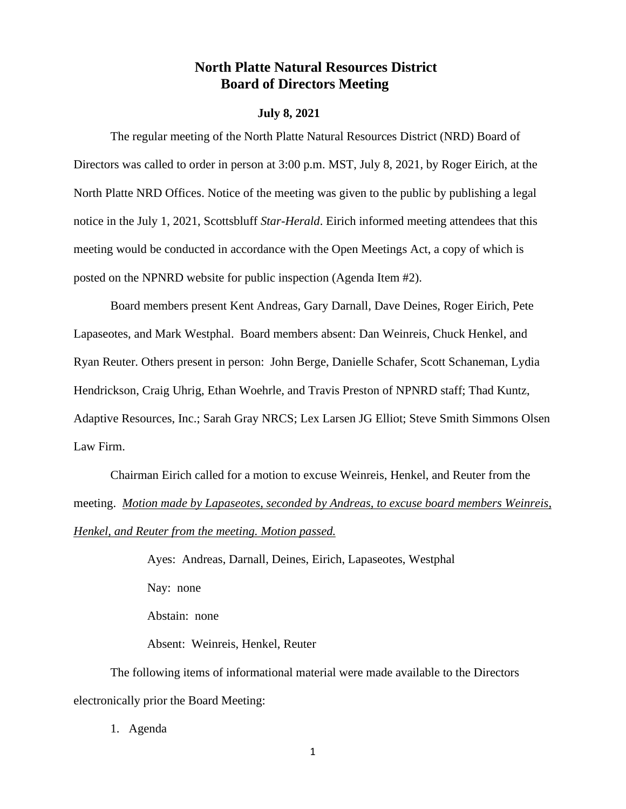# **North Platte Natural Resources District Board of Directors Meeting**

#### **July 8, 2021**

The regular meeting of the North Platte Natural Resources District (NRD) Board of Directors was called to order in person at 3:00 p.m. MST, July 8, 2021, by Roger Eirich, at the North Platte NRD Offices. Notice of the meeting was given to the public by publishing a legal notice in the July 1, 2021, Scottsbluff *Star-Herald*. Eirich informed meeting attendees that this meeting would be conducted in accordance with the Open Meetings Act, a copy of which is posted on the NPNRD website for public inspection (Agenda Item #2).

Board members present Kent Andreas, Gary Darnall, Dave Deines, Roger Eirich, Pete Lapaseotes, and Mark Westphal. Board members absent: Dan Weinreis, Chuck Henkel, and Ryan Reuter. Others present in person: John Berge, Danielle Schafer, Scott Schaneman, Lydia Hendrickson, Craig Uhrig, Ethan Woehrle, and Travis Preston of NPNRD staff; Thad Kuntz, Adaptive Resources, Inc.; Sarah Gray NRCS; Lex Larsen JG Elliot; Steve Smith Simmons Olsen Law Firm.

Chairman Eirich called for a motion to excuse Weinreis, Henkel, and Reuter from the meeting. *Motion made by Lapaseotes, seconded by Andreas, to excuse board members Weinreis, Henkel, and Reuter from the meeting. Motion passed.*

> Ayes: Andreas, Darnall, Deines, Eirich, Lapaseotes, Westphal Nay: none Abstain: none Absent: Weinreis, Henkel, Reuter

The following items of informational material were made available to the Directors electronically prior the Board Meeting:

1. Agenda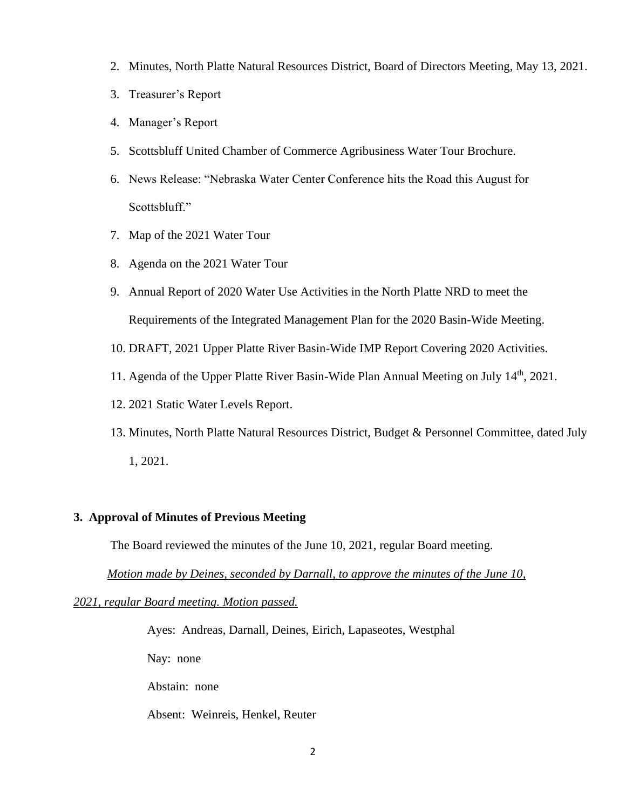- 2. Minutes, North Platte Natural Resources District, Board of Directors Meeting, May 13, 2021.
- 3. Treasurer's Report
- 4. Manager's Report
- 5. Scottsbluff United Chamber of Commerce Agribusiness Water Tour Brochure.
- 6. News Release: "Nebraska Water Center Conference hits the Road this August for Scottsbluff."
- 7. Map of the 2021 Water Tour
- 8. Agenda on the 2021 Water Tour
- 9. Annual Report of 2020 Water Use Activities in the North Platte NRD to meet the Requirements of the Integrated Management Plan for the 2020 Basin-Wide Meeting.
- 10. DRAFT, 2021 Upper Platte River Basin-Wide IMP Report Covering 2020 Activities.
- 11. Agenda of the Upper Platte River Basin-Wide Plan Annual Meeting on July 14<sup>th</sup>, 2021.
- 12. 2021 Static Water Levels Report.
- 13. Minutes, North Platte Natural Resources District, Budget & Personnel Committee, dated July 1, 2021.

## **3. Approval of Minutes of Previous Meeting**

The Board reviewed the minutes of the June 10, 2021, regular Board meeting.

 *Motion made by Deines, seconded by Darnall, to approve the minutes of the June 10,* 

*2021, regular Board meeting. Motion passed.*

Ayes: Andreas, Darnall, Deines, Eirich, Lapaseotes, Westphal

Nay: none

Abstain: none

Absent: Weinreis, Henkel, Reuter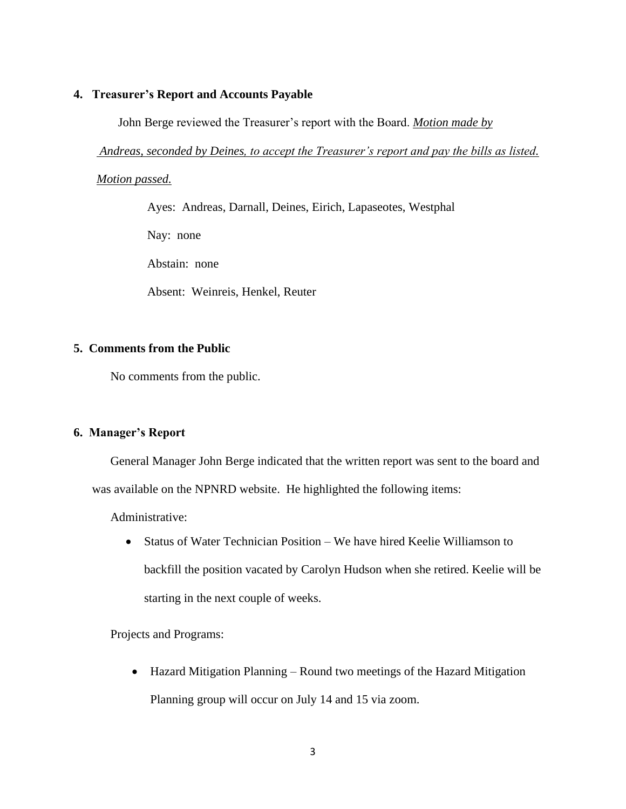#### **4. Treasurer's Report and Accounts Payable**

John Berge reviewed the Treasurer's report with the Board. *Motion made by* 

*Andreas, seconded by Deines, to accept the Treasurer's report and pay the bills as listed.* 

*Motion passed.*

Ayes: Andreas, Darnall, Deines, Eirich, Lapaseotes, Westphal

Nay: none

Abstain: none

Absent: Weinreis, Henkel, Reuter

### **5. Comments from the Public**

No comments from the public.

### **6. Manager's Report**

General Manager John Berge indicated that the written report was sent to the board and was available on the NPNRD website. He highlighted the following items:

Administrative:

• Status of Water Technician Position – We have hired Keelie Williamson to backfill the position vacated by Carolyn Hudson when she retired. Keelie will be starting in the next couple of weeks.

### Projects and Programs:

• Hazard Mitigation Planning – Round two meetings of the Hazard Mitigation Planning group will occur on July 14 and 15 via zoom.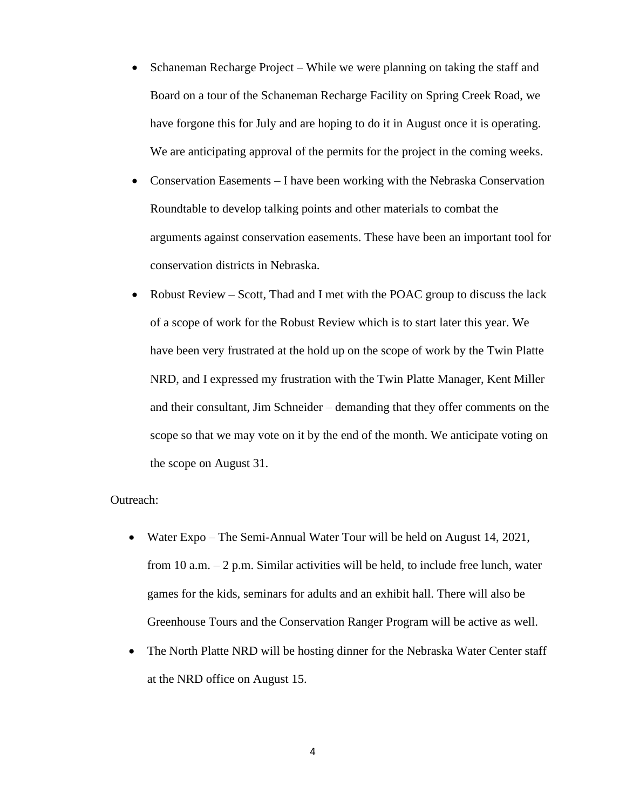- Schaneman Recharge Project While we were planning on taking the staff and Board on a tour of the Schaneman Recharge Facility on Spring Creek Road, we have forgone this for July and are hoping to do it in August once it is operating. We are anticipating approval of the permits for the project in the coming weeks.
- Conservation Easements I have been working with the Nebraska Conservation Roundtable to develop talking points and other materials to combat the arguments against conservation easements. These have been an important tool for conservation districts in Nebraska.
- Robust Review Scott, Thad and I met with the POAC group to discuss the lack of a scope of work for the Robust Review which is to start later this year. We have been very frustrated at the hold up on the scope of work by the Twin Platte NRD, and I expressed my frustration with the Twin Platte Manager, Kent Miller and their consultant, Jim Schneider – demanding that they offer comments on the scope so that we may vote on it by the end of the month. We anticipate voting on the scope on August 31.

#### Outreach:

- Water Expo The Semi-Annual Water Tour will be held on August 14, 2021, from 10 a.m. – 2 p.m. Similar activities will be held, to include free lunch, water games for the kids, seminars for adults and an exhibit hall. There will also be Greenhouse Tours and the Conservation Ranger Program will be active as well.
- The North Platte NRD will be hosting dinner for the Nebraska Water Center staff at the NRD office on August 15.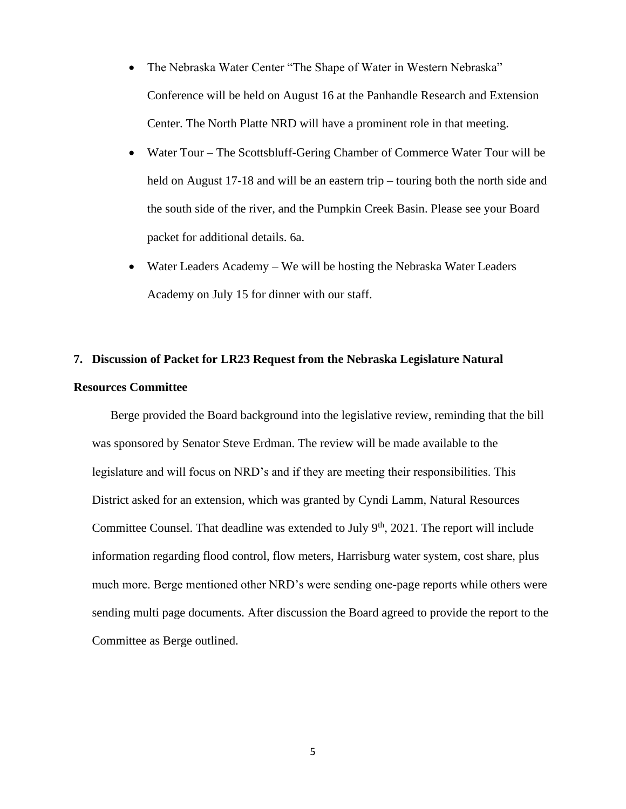- The Nebraska Water Center "The Shape of Water in Western Nebraska" Conference will be held on August 16 at the Panhandle Research and Extension Center. The North Platte NRD will have a prominent role in that meeting.
- Water Tour The Scottsbluff-Gering Chamber of Commerce Water Tour will be held on August 17-18 and will be an eastern trip – touring both the north side and the south side of the river, and the Pumpkin Creek Basin. Please see your Board packet for additional details. 6a.
- Water Leaders Academy We will be hosting the Nebraska Water Leaders Academy on July 15 for dinner with our staff.

# **7. Discussion of Packet for LR23 Request from the Nebraska Legislature Natural Resources Committee**

Berge provided the Board background into the legislative review, reminding that the bill was sponsored by Senator Steve Erdman. The review will be made available to the legislature and will focus on NRD's and if they are meeting their responsibilities. This District asked for an extension, which was granted by Cyndi Lamm, Natural Resources Committee Counsel. That deadline was extended to July  $9<sup>th</sup>$ , 2021. The report will include information regarding flood control, flow meters, Harrisburg water system, cost share, plus much more. Berge mentioned other NRD's were sending one-page reports while others were sending multi page documents. After discussion the Board agreed to provide the report to the Committee as Berge outlined.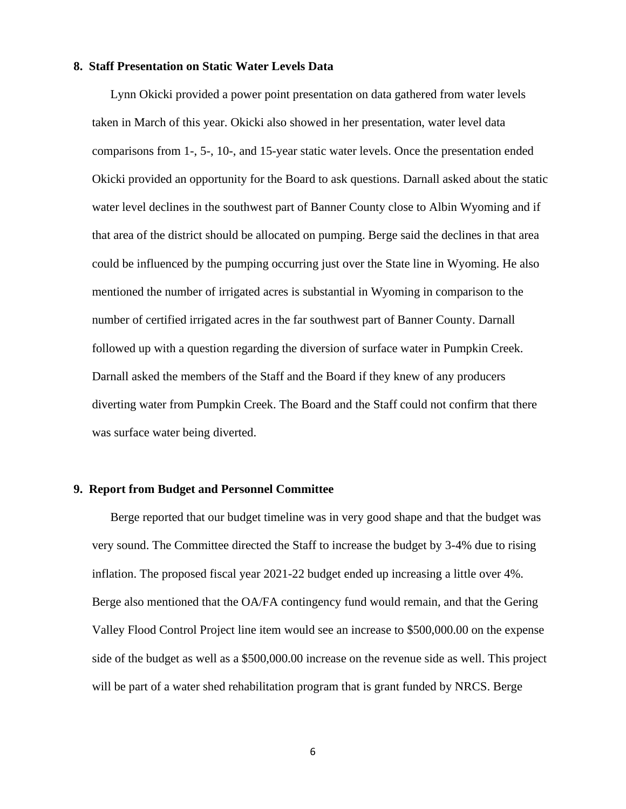#### **8. Staff Presentation on Static Water Levels Data**

Lynn Okicki provided a power point presentation on data gathered from water levels taken in March of this year. Okicki also showed in her presentation, water level data comparisons from 1-, 5-, 10-, and 15-year static water levels. Once the presentation ended Okicki provided an opportunity for the Board to ask questions. Darnall asked about the static water level declines in the southwest part of Banner County close to Albin Wyoming and if that area of the district should be allocated on pumping. Berge said the declines in that area could be influenced by the pumping occurring just over the State line in Wyoming. He also mentioned the number of irrigated acres is substantial in Wyoming in comparison to the number of certified irrigated acres in the far southwest part of Banner County. Darnall followed up with a question regarding the diversion of surface water in Pumpkin Creek. Darnall asked the members of the Staff and the Board if they knew of any producers diverting water from Pumpkin Creek. The Board and the Staff could not confirm that there was surface water being diverted.

#### **9. Report from Budget and Personnel Committee**

Berge reported that our budget timeline was in very good shape and that the budget was very sound. The Committee directed the Staff to increase the budget by 3-4% due to rising inflation. The proposed fiscal year 2021-22 budget ended up increasing a little over 4%. Berge also mentioned that the OA/FA contingency fund would remain, and that the Gering Valley Flood Control Project line item would see an increase to \$500,000.00 on the expense side of the budget as well as a \$500,000.00 increase on the revenue side as well. This project will be part of a water shed rehabilitation program that is grant funded by NRCS. Berge